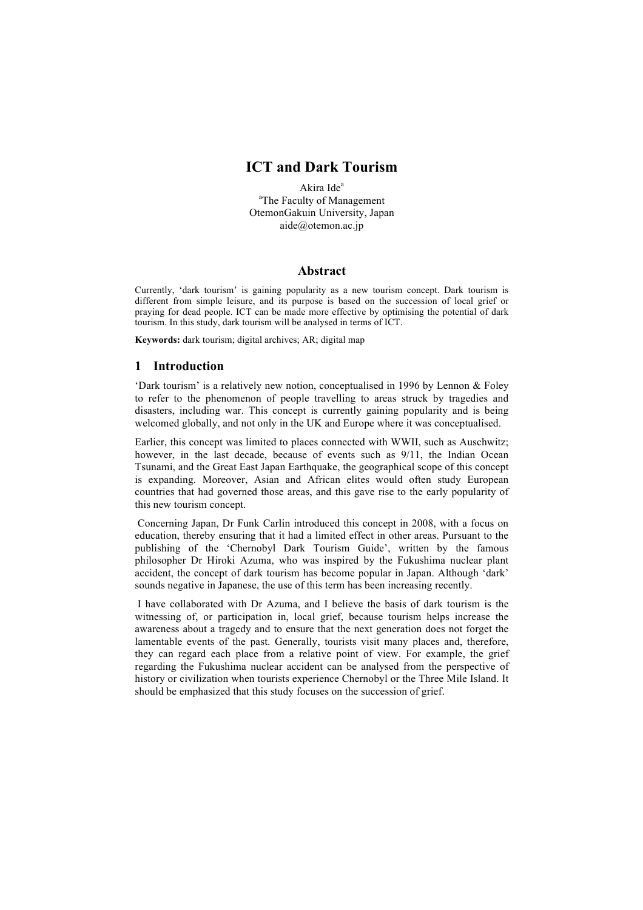# **ICT and Dark Tourism**

Akira Ide<sup>a</sup> <sup>a</sup>The Faculty of Management OtemonGakuin University, Japan aide@otemon.ac.jp

### **Abstract**

Currently, 'dark tourism' is gaining popularity as a new tourism concept. Dark tourism is different from simple leisure, and its purpose is based on the succession of local grief or praying for dead people. ICT can be made more effective by optimising the potential of dark tourism. In this study, dark tourism will be analysed in terms of ICT.

**Keywords:** dark tourism; digital archives; AR; digital map

#### **1 Introduction**

'Dark tourism' is a relatively new notion, conceptualised in 1996 by Lennon & Foley to refer to the phenomenon of people travelling to areas struck by tragedies and disasters, including war. This concept is currently gaining popularity and is being welcomed globally, and not only in the UK and Europe where it was conceptualised.

Earlier, this concept was limited to places connected with WWII, such as Auschwitz; however, in the last decade, because of events such as  $9/11$ , the Indian Ocean Tsunami, and the Great East Japan Earthquake, the geographical scope of this concept is expanding. Moreover, Asian and African elites would often study European countries that had governed those areas, and this gave rise to the early popularity of this new tourism concept.

Concerning Japan, Dr Funk Carlin introduced this concept in 2008, with a focus on education, thereby ensuring that it had a limited effect in other areas. Pursuant to the publishing of the 'Chernobyl Dark Tourism Guide', written by the famous philosopher Dr Hiroki Azuma, who was inspired by the Fukushima nuclear plant accident, the concept of dark tourism has become popular in Japan. Although 'dark' sounds negative in Japanese, the use of this term has been increasing recently.

I have collaborated with Dr Azuma, and I believe the basis of dark tourism is the witnessing of, or participation in, local grief, because tourism helps increase the awareness about a tragedy and to ensure that the next generation does not forget the lamentable events of the past. Generally, tourists visit many places and, therefore, they can regard each place from a relative point of view. For example, the grief regarding the Fukushima nuclear accident can be analysed from the perspective of history or civilization when tourists experience Chernobyl or the Three Mile Island. It should be emphasized that this study focuses on the succession of grief.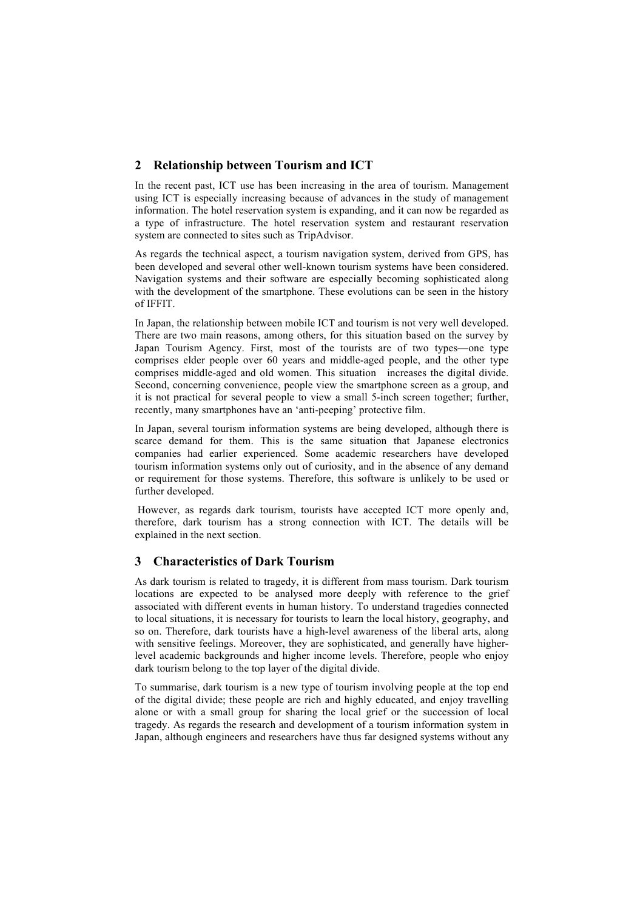# **2 Relationship between Tourism and ICT**

In the recent past, ICT use has been increasing in the area of tourism. Management using ICT is especially increasing because of advances in the study of management information. The hotel reservation system is expanding, and it can now be regarded as a type of infrastructure. The hotel reservation system and restaurant reservation system are connected to sites such as TripAdvisor.

As regards the technical aspect, a tourism navigation system, derived from GPS, has been developed and several other well-known tourism systems have been considered. Navigation systems and their software are especially becoming sophisticated along with the development of the smartphone. These evolutions can be seen in the history of IFFIT.

In Japan, the relationship between mobile ICT and tourism is not very well developed. There are two main reasons, among others, for this situation based on the survey by Japan Tourism Agency. First, most of the tourists are of two types—one type comprises elder people over 60 years and middle-aged people, and the other type comprises middle-aged and old women. This situation increases the digital divide. Second, concerning convenience, people view the smartphone screen as a group, and it is not practical for several people to view a small 5-inch screen together; further, recently, many smartphones have an 'anti-peeping' protective film.

In Japan, several tourism information systems are being developed, although there is scarce demand for them. This is the same situation that Japanese electronics companies had earlier experienced. Some academic researchers have developed tourism information systems only out of curiosity, and in the absence of any demand or requirement for those systems. Therefore, this software is unlikely to be used or further developed.

However, as regards dark tourism, tourists have accepted ICT more openly and, therefore, dark tourism has a strong connection with ICT. The details will be explained in the next section.

## **3 Characteristics of Dark Tourism**

As dark tourism is related to tragedy, it is different from mass tourism. Dark tourism locations are expected to be analysed more deeply with reference to the grief associated with different events in human history. To understand tragedies connected to local situations, it is necessary for tourists to learn the local history, geography, and so on. Therefore, dark tourists have a high-level awareness of the liberal arts, along with sensitive feelings. Moreover, they are sophisticated, and generally have higherlevel academic backgrounds and higher income levels. Therefore, people who enjoy dark tourism belong to the top layer of the digital divide.

To summarise, dark tourism is a new type of tourism involving people at the top end of the digital divide; these people are rich and highly educated, and enjoy travelling alone or with a small group for sharing the local grief or the succession of local tragedy. As regards the research and development of a tourism information system in Japan, although engineers and researchers have thus far designed systems without any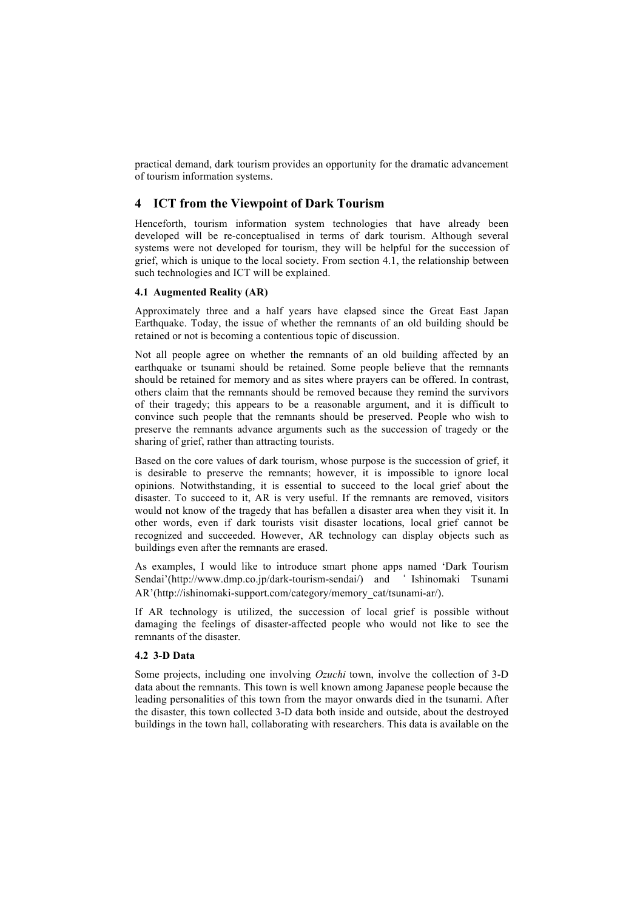practical demand, dark tourism provides an opportunity for the dramatic advancement of tourism information systems.

## **4 ICT from the Viewpoint of Dark Tourism**

Henceforth, tourism information system technologies that have already been developed will be re-conceptualised in terms of dark tourism. Although several systems were not developed for tourism, they will be helpful for the succession of grief, which is unique to the local society. From section 4.1, the relationship between such technologies and ICT will be explained.

#### **4.1 Augmented Reality (AR)**

Approximately three and a half years have elapsed since the Great East Japan Earthquake. Today, the issue of whether the remnants of an old building should be retained or not is becoming a contentious topic of discussion.

Not all people agree on whether the remnants of an old building affected by an earthquake or tsunami should be retained. Some people believe that the remnants should be retained for memory and as sites where prayers can be offered. In contrast, others claim that the remnants should be removed because they remind the survivors of their tragedy; this appears to be a reasonable argument, and it is difficult to convince such people that the remnants should be preserved. People who wish to preserve the remnants advance arguments such as the succession of tragedy or the sharing of grief, rather than attracting tourists.

Based on the core values of dark tourism, whose purpose is the succession of grief, it is desirable to preserve the remnants; however, it is impossible to ignore local opinions. Notwithstanding, it is essential to succeed to the local grief about the disaster. To succeed to it, AR is very useful. If the remnants are removed, visitors would not know of the tragedy that has befallen a disaster area when they visit it. In other words, even if dark tourists visit disaster locations, local grief cannot be recognized and succeeded. However, AR technology can display objects such as buildings even after the remnants are erased.

As examples, I would like to introduce smart phone apps named 'Dark Tourism Sendai'(http://www.dmp.co.jp/dark-tourism-sendai/) and ' Ishinomaki Tsunami AR'(http://ishinomaki-support.com/category/memory\_cat/tsunami-ar/).

If AR technology is utilized, the succession of local grief is possible without damaging the feelings of disaster-affected people who would not like to see the remnants of the disaster.

#### **4.2 3-D Data**

Some projects, including one involving *Ozuchi* town, involve the collection of 3-D data about the remnants. This town is well known among Japanese people because the leading personalities of this town from the mayor onwards died in the tsunami. After the disaster, this town collected 3-D data both inside and outside, about the destroyed buildings in the town hall, collaborating with researchers. This data is available on the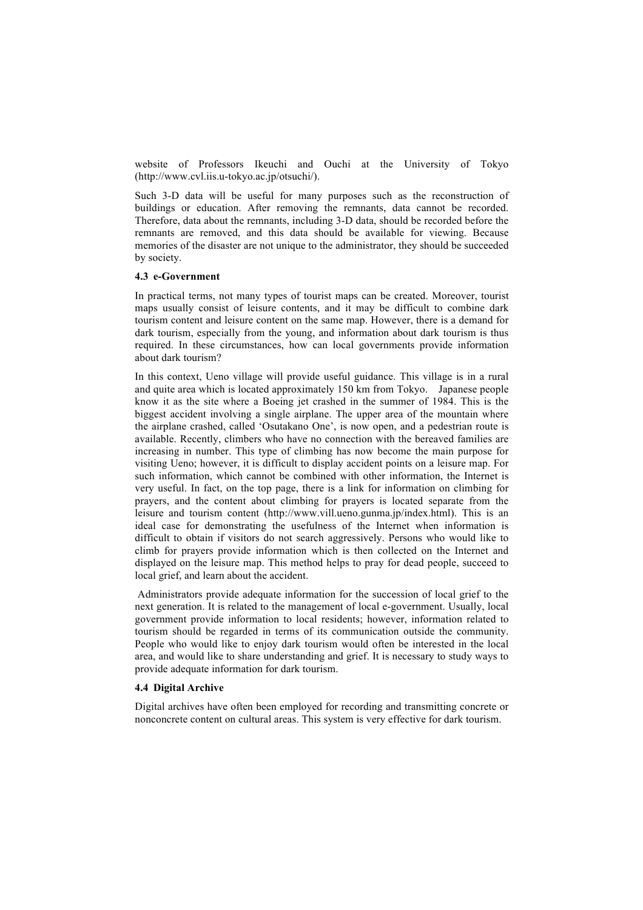website of Professors Ikeuchi and Ouchi at the University of Tokyo (http://www.cvl.iis.u-tokyo.ac.jp/otsuchi/).

Such 3-D data will be useful for many purposes such as the reconstruction of buildings or education. After removing the remnants, data cannot be recorded. Therefore, data about the remnants, including 3-D data, should be recorded before the remnants are removed, and this data should be available for viewing. Because memories of the disaster are not unique to the administrator, they should be succeeded by society.

### **4.3 e-Government**

In practical terms, not many types of tourist maps can be created. Moreover, tourist maps usually consist of leisure contents, and it may be difficult to combine dark tourism content and leisure content on the same map. However, there is a demand for dark tourism, especially from the young, and information about dark tourism is thus required. In these circumstances, how can local governments provide information about dark tourism?

In this context, Ueno village will provide useful guidance. This village is in a rural and quite area which is located approximately 150 km from Tokyo. Japanese people know it as the site where a Boeing jet crashed in the summer of 1984. This is the biggest accident involving a single airplane. The upper area of the mountain where the airplane crashed, called 'Osutakano One', is now open, and a pedestrian route is available. Recently, climbers who have no connection with the bereaved families are increasing in number. This type of climbing has now become the main purpose for visiting Ueno; however, it is difficult to display accident points on a leisure map. For such information, which cannot be combined with other information, the Internet is very useful. In fact, on the top page, there is a link for information on climbing for prayers, and the content about climbing for prayers is located separate from the leisure and tourism content (http://www.vill.ueno.gunma.jp/index.html). This is an ideal case for demonstrating the usefulness of the Internet when information is difficult to obtain if visitors do not search aggressively. Persons who would like to climb for prayers provide information which is then collected on the Internet and displayed on the leisure map. This method helps to pray for dead people, succeed to local grief, and learn about the accident.

Administrators provide adequate information for the succession of local grief to the next generation. It is related to the management of local e-government. Usually, local government provide information to local residents; however, information related to tourism should be regarded in terms of its communication outside the community. People who would like to enjoy dark tourism would often be interested in the local area, and would like to share understanding and grief. It is necessary to study ways to provide adequate information for dark tourism.

#### **4.4 Digital Archive**

Digital archives have often been employed for recording and transmitting concrete or nonconcrete content on cultural areas. This system is very effective for dark tourism.